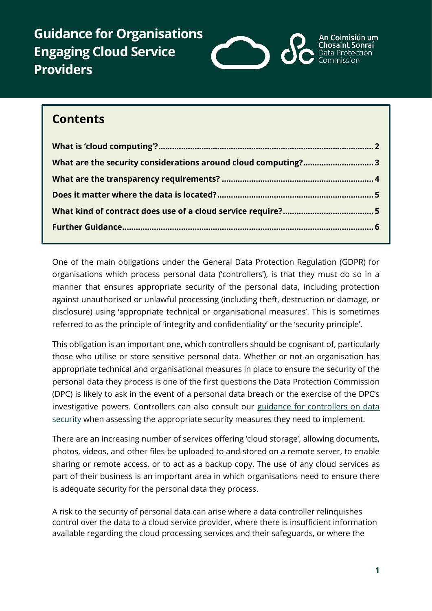**Guidance for Organisations Engaging Cloud Service Providers**



# **Contents**

| What are the security considerations around cloud computing?3 |  |
|---------------------------------------------------------------|--|
|                                                               |  |
|                                                               |  |
|                                                               |  |
|                                                               |  |

One of the main obligations under the General Data Protection Regulation (GDPR) for organisations which process personal data ('controllers'), is that they must do so in a manner that ensures appropriate security of the personal data, including protection against unauthorised or unlawful processing (including theft, destruction or damage, or disclosure) using 'appropriate technical or organisational measures'. This is sometimes referred to as the principle of 'integrity and confidentiality' or the 'security principle'.

This obligation is an important one, which controllers should be cognisant of, particularly those who utilise or store sensitive personal data. Whether or not an organisation has appropriate technical and organisational measures in place to ensure the security of the personal data they process is one of the first questions the Data Protection Commission (DPC) is likely to ask in the event of a personal data breach or the exercise of the DPC's investigative powers. Controllers can also consult our guidance for controllers on data [security](https://www.dataprotection.ie/en/guidance-landing/guidance-controllers-data-security) when assessing the appropriate security measures they need to implement.

There are an increasing number of services offering 'cloud storage', allowing documents, photos, videos, and other files be uploaded to and stored on a remote server, to enable sharing or remote access, or to act as a backup copy. The use of any cloud services as part of their business is an important area in which organisations need to ensure there is adequate security for the personal data they process.

A risk to the security of personal data can arise where a data controller relinquishes control over the data to a cloud service provider, where there is insufficient information available regarding the cloud processing services and their safeguards, or where the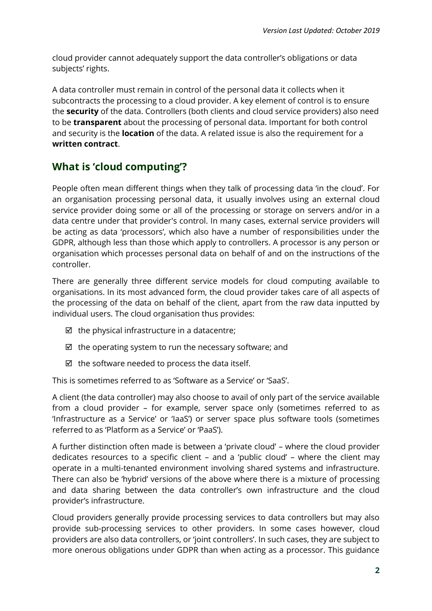cloud provider cannot adequately support the data controller's obligations or data subjects' rights.

A data controller must remain in control of the personal data it collects when it subcontracts the processing to a cloud provider. A key element of control is to ensure the **security** of the data. Controllers (both clients and cloud service providers) also need to be **transparent** about the processing of personal data. Important for both control and security is the **location** of the data. A related issue is also the requirement for a **written contract**.

## <span id="page-1-0"></span>**What is 'cloud computing'?**

People often mean different things when they talk of processing data 'in the cloud'. For an organisation processing personal data, it usually involves using an external cloud service provider doing some or all of the processing or storage on servers and/or in a data centre under that provider's control. In many cases, external service providers will be acting as data 'processors', which also have a number of responsibilities under the GDPR, although less than those which apply to controllers. A processor is any person or organisation which processes personal data on behalf of and on the instructions of the controller.

There are generally three different service models for cloud computing available to organisations. In its most advanced form, the cloud provider takes care of all aspects of the processing of the data on behalf of the client, apart from the raw data inputted by individual users. The cloud organisation thus provides:

- $\boxtimes$  the physical infrastructure in a datacentre:
- $\boxtimes$  the operating system to run the necessary software; and
- $\boxtimes$  the software needed to process the data itself.

This is sometimes referred to as 'Software as a Service' or 'SaaS'.

A client (the data controller) may also choose to avail of only part of the service available from a cloud provider – for example, server space only (sometimes referred to as 'Infrastructure as a Service' or 'IaaS') or server space plus software tools (sometimes referred to as 'Platform as a Service' or 'PaaS').

A further distinction often made is between a 'private cloud' – where the cloud provider dedicates resources to a specific client – and a 'public cloud' – where the client may operate in a multi-tenanted environment involving shared systems and infrastructure. There can also be 'hybrid' versions of the above where there is a mixture of processing and data sharing between the data controller's own infrastructure and the cloud provider's infrastructure.

Cloud providers generally provide processing services to data controllers but may also provide sub-processing services to other providers. In some cases however, cloud providers are also data controllers, or 'joint controllers'. In such cases, they are subject to more onerous obligations under GDPR than when acting as a processor. This guidance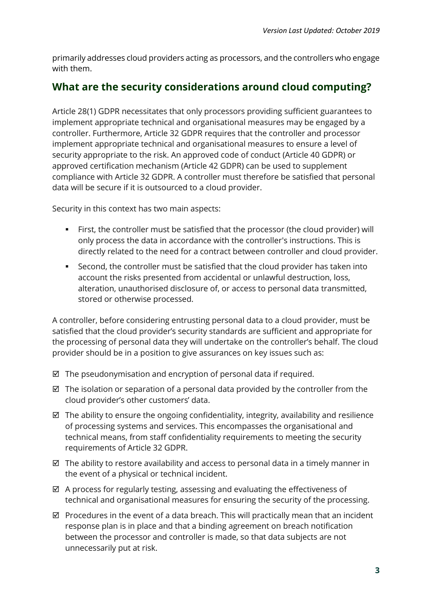primarily addresses cloud providers acting as processors, and the controllers who engage with them.

#### <span id="page-2-0"></span>**What are the security considerations around cloud computing?**

Article 28(1) GDPR necessitates that only processors providing sufficient guarantees to implement appropriate technical and organisational measures may be engaged by a controller. Furthermore, Article 32 GDPR requires that the controller and processor implement appropriate technical and organisational measures to ensure a level of security appropriate to the risk. An approved code of conduct (Article 40 GDPR) or approved certification mechanism (Article 42 GDPR) can be used to supplement compliance with Article 32 GDPR. A controller must therefore be satisfied that personal data will be secure if it is outsourced to a cloud provider.

Security in this context has two main aspects:

- First, the controller must be satisfied that the processor (the cloud provider) will only process the data in accordance with the controller's instructions. This is directly related to the need for a contract between controller and cloud provider.
- Second, the controller must be satisfied that the cloud provider has taken into account the risks presented from accidental or unlawful destruction, loss, alteration, unauthorised disclosure of, or access to personal data transmitted, stored or otherwise processed.

A controller, before considering entrusting personal data to a cloud provider, must be satisfied that the cloud provider's security standards are sufficient and appropriate for the processing of personal data they will undertake on the controller's behalf. The cloud provider should be in a position to give assurances on key issues such as:

- $\boxtimes$  The pseudonymisation and encryption of personal data if required.
- $\boxtimes$  The isolation or separation of a personal data provided by the controller from the cloud provider's other customers' data.
- $\boxtimes$  The ability to ensure the ongoing confidentiality, integrity, availability and resilience of processing systems and services. This encompasses the organisational and technical means, from staff confidentiality requirements to meeting the security requirements of Article 32 GDPR.
- $\boxtimes$  The ability to restore availability and access to personal data in a timely manner in the event of a physical or technical incident.
- $\boxtimes$  A process for regularly testing, assessing and evaluating the effectiveness of technical and organisational measures for ensuring the security of the processing.
- $\boxtimes$  Procedures in the event of a data breach. This will practically mean that an incident response plan is in place and that a binding agreement on breach notification between the processor and controller is made, so that data subjects are not unnecessarily put at risk.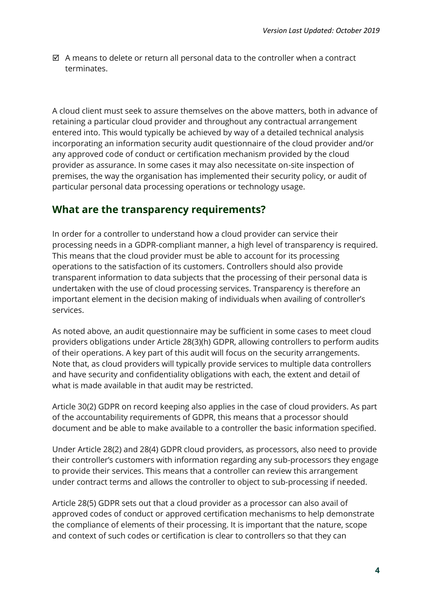$\boxtimes$  A means to delete or return all personal data to the controller when a contract terminates.

A cloud client must seek to assure themselves on the above matters, both in advance of retaining a particular cloud provider and throughout any contractual arrangement entered into. This would typically be achieved by way of a detailed technical analysis incorporating an information security audit questionnaire of the cloud provider and/or any approved code of conduct or certification mechanism provided by the cloud provider as assurance. In some cases it may also necessitate on-site inspection of premises, the way the organisation has implemented their security policy, or audit of particular personal data processing operations or technology usage.

#### <span id="page-3-0"></span>**What are the transparency requirements?**

In order for a controller to understand how a cloud provider can service their processing needs in a GDPR-compliant manner, a high level of transparency is required. This means that the cloud provider must be able to account for its processing operations to the satisfaction of its customers. Controllers should also provide transparent information to data subjects that the processing of their personal data is undertaken with the use of cloud processing services. Transparency is therefore an important element in the decision making of individuals when availing of controller's services.

As noted above, an audit questionnaire may be sufficient in some cases to meet cloud providers obligations under Article 28(3)(h) GDPR, allowing controllers to perform audits of their operations. A key part of this audit will focus on the security arrangements. Note that, as cloud providers will typically provide services to multiple data controllers and have security and confidentiality obligations with each, the extent and detail of what is made available in that audit may be restricted.

Article 30(2) GDPR on record keeping also applies in the case of cloud providers. As part of the accountability requirements of GDPR, this means that a processor should document and be able to make available to a controller the basic information specified.

Under Article 28(2) and 28(4) GDPR cloud providers, as processors, also need to provide their controller's customers with information regarding any sub-processors they engage to provide their services. This means that a controller can review this arrangement under contract terms and allows the controller to object to sub-processing if needed.

Article 28(5) GDPR sets out that a cloud provider as a processor can also avail of approved codes of conduct or approved certification mechanisms to help demonstrate the compliance of elements of their processing. It is important that the nature, scope and context of such codes or certification is clear to controllers so that they can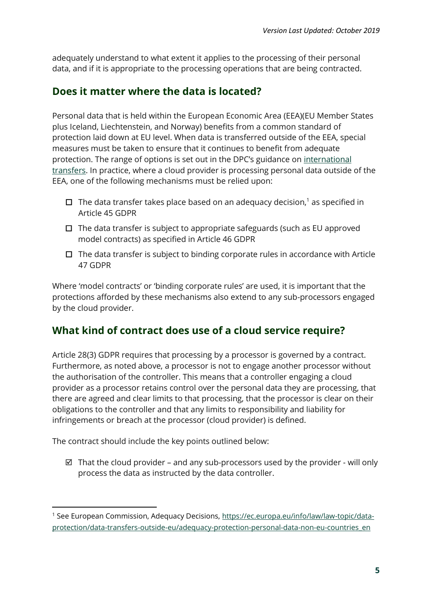adequately understand to what extent it applies to the processing of their personal data, and if it is appropriate to the processing operations that are being contracted.

### <span id="page-4-0"></span>**Does it matter where the data is located?**

Personal data that is held within the European Economic Area (EEA)(EU Member States plus Iceland, Liechtenstein, and Norway) benefits from a common standard of protection laid down at EU level. When data is transferred outside of the EEA, special measures must be taken to ensure that it continues to benefit from adequate protection. The range of options is set out in the DPC's guidance on [international](https://dataprotection.ie/en/organisations/international-transfers)  [transfers.](https://dataprotection.ie/en/organisations/international-transfers) In practice, where a cloud provider is processing personal data outside of the EEA, one of the following mechanisms must be relied upon:

- $\Box$  The data transfer takes place based on an adequacy decision,<sup>1</sup> as specified in Article 45 GDPR
- $\Box$  The data transfer is subject to appropriate safeguards (such as EU approved model contracts) as specified in Article 46 GDPR
- $\Box$  The data transfer is subject to binding corporate rules in accordance with Article 47 GDPR

Where 'model contracts' or 'binding corporate rules' are used, it is important that the protections afforded by these mechanisms also extend to any sub-processors engaged by the cloud provider.

# <span id="page-4-1"></span>**What kind of contract does use of a cloud service require?**

Article 28(3) GDPR requires that processing by a processor is governed by a contract. Furthermore, as noted above, a processor is not to engage another processor without the authorisation of the controller. This means that a controller engaging a cloud provider as a processor retains control over the personal data they are processing, that there are agreed and clear limits to that processing, that the processor is clear on their obligations to the controller and that any limits to responsibility and liability for infringements or breach at the processor (cloud provider) is defined.

The contract should include the key points outlined below:

**.** 

 $\boxtimes$  That the cloud provider – and any sub-processors used by the provider - will only process the data as instructed by the data controller.

<sup>&</sup>lt;sup>1</sup> See European Commission, Adequacy Decisions, [https://ec.europa.eu/info/law/law-topic/data](https://ec.europa.eu/info/law/law-topic/data-protection/data-transfers-outside-eu/adequacy-protection-personal-data-non-eu-countries_en)[protection/data-transfers-outside-eu/adequacy-protection-personal-data-non-eu-countries\\_en](https://ec.europa.eu/info/law/law-topic/data-protection/data-transfers-outside-eu/adequacy-protection-personal-data-non-eu-countries_en)